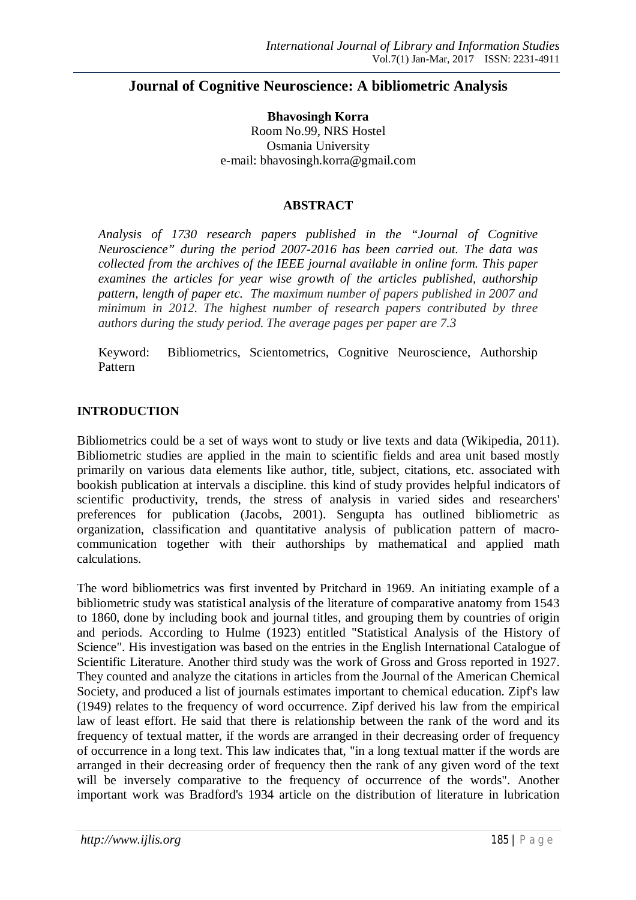# **Journal of Cognitive Neuroscience: A bibliometric Analysis**

**Bhavosingh Korra** Room No.99, NRS Hostel Osmania University e-mail: bhavosingh.korra@gmail.com

#### **ABSTRACT**

*Analysis of 1730 research papers published in the "Journal of Cognitive Neuroscience" during the period 2007-2016 has been carried out. The data was collected from the archives of the IEEE journal available in online form. This paper examines the articles for year wise growth of the articles published, authorship pattern, length of paper etc. The maximum number of papers published in 2007 and minimum in 2012. The highest number of research papers contributed by three authors during the study period. The average pages per paper are 7.3*

Keyword: Bibliometrics, Scientometrics, Cognitive Neuroscience, Authorship Pattern

### **INTRODUCTION**

Bibliometrics could be a set of ways wont to study or live texts and data (Wikipedia, 2011). Bibliometric studies are applied in the main to scientific fields and area unit based mostly primarily on various data elements like author, title, subject, citations, etc. associated with bookish publication at intervals a discipline. this kind of study provides helpful indicators of scientific productivity, trends, the stress of analysis in varied sides and researchers' preferences for publication (Jacobs, 2001). Sengupta has outlined bibliometric as organization, classification and quantitative analysis of publication pattern of macrocommunication together with their authorships by mathematical and applied math calculations.

The word bibliometrics was first invented by Pritchard in 1969. An initiating example of a bibliometric study was statistical analysis of the literature of comparative anatomy from 1543 to 1860, done by including book and journal titles, and grouping them by countries of origin and periods. According to Hulme (1923) entitled "Statistical Analysis of the History of Science". His investigation was based on the entries in the English International Catalogue of Scientific Literature. Another third study was the work of Gross and Gross reported in 1927. They counted and analyze the citations in articles from the Journal of the American Chemical Society, and produced a list of journals estimates important to chemical education. Zipf's law (1949) relates to the frequency of word occurrence. Zipf derived his law from the empirical law of least effort. He said that there is relationship between the rank of the word and its frequency of textual matter, if the words are arranged in their decreasing order of frequency of occurrence in a long text. This law indicates that, "in a long textual matter if the words are arranged in their decreasing order of frequency then the rank of any given word of the text will be inversely comparative to the frequency of occurrence of the words". Another important work was Bradford's 1934 article on the distribution of literature in lubrication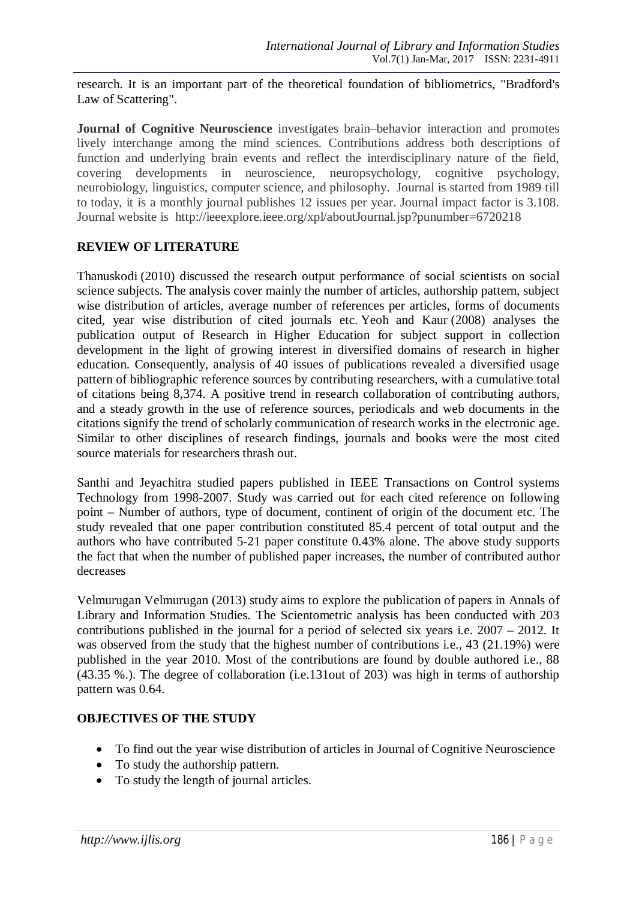research. It is an important part of the theoretical foundation of bibliometrics, "Bradford's Law of Scattering".

**Journal of Cognitive Neuroscience** investigates brain–behavior interaction and promotes lively interchange among the mind sciences. Contributions address both descriptions of function and underlying brain events and reflect the interdisciplinary nature of the field, covering developments in neuroscience, neuropsychology, cognitive psychology, neurobiology, linguistics, computer science, and philosophy. Journal is started from 1989 till to today, it is a monthly journal publishes 12 issues per year. Journal impact factor is 3.108. Journal website is http://ieeexplore.ieee.org/xpl/aboutJournal.jsp?punumber=6720218

## **REVIEW OF LITERATURE**

Thanuskodi (2010) discussed the research output performance of social scientists on social science subjects. The analysis cover mainly the number of articles, authorship pattern, subject wise distribution of articles, average number of references per articles, forms of documents cited, year wise distribution of cited journals etc. Yeoh and Kaur (2008) analyses the publication output of Research in Higher Education for subject support in collection development in the light of growing interest in diversified domains of research in higher education. Consequently, analysis of 40 issues of publications revealed a diversified usage pattern of bibliographic reference sources by contributing researchers, with a cumulative total of citations being 8,374. A positive trend in research collaboration of contributing authors, and a steady growth in the use of reference sources, periodicals and web documents in the citations signify the trend of scholarly communication of research works in the electronic age. Similar to other disciplines of research findings, journals and books were the most cited source materials for researchers thrash out.

Santhi and Jeyachitra studied papers published in IEEE Transactions on Control systems Technology from 1998-2007. Study was carried out for each cited reference on following point – Number of authors, type of document, continent of origin of the document etc. The study revealed that one paper contribution constituted 85.4 percent of total output and the authors who have contributed 5-21 paper constitute 0.43% alone. The above study supports the fact that when the number of published paper increases, the number of contributed author decreases

Velmurugan Velmurugan (2013) study aims to explore the publication of papers in Annals of Library and Information Studies. The Scientometric analysis has been conducted with 203 contributions published in the journal for a period of selected six years i.e. 2007 – 2012. It was observed from the study that the highest number of contributions i.e., 43 (21.19%) were published in the year 2010. Most of the contributions are found by double authored i.e., 88 (43.35 %.). The degree of collaboration (i.e.131out of 203) was high in terms of authorship pattern was 0.64.

## **OBJECTIVES OF THE STUDY**

- To find out the year wise distribution of articles in Journal of Cognitive Neuroscience
- To study the authorship pattern.
- To study the length of journal articles.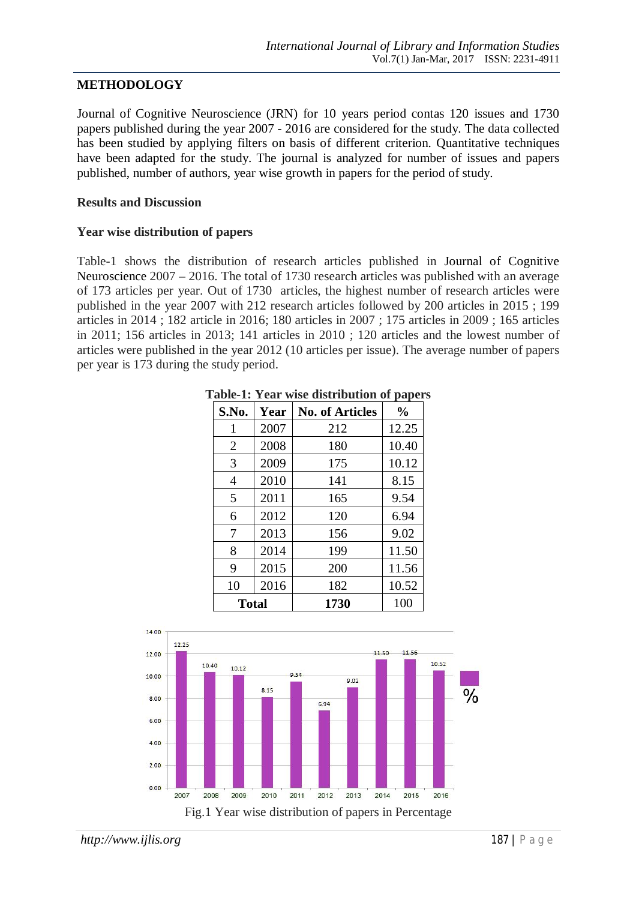## **METHODOLOGY**

Journal of Cognitive Neuroscience (JRN) for 10 years period contas 120 issues and 1730 papers published during the year 2007 - 2016 are considered for the study. The data collected has been studied by applying filters on basis of different criterion. Quantitative techniques have been adapted for the study. The journal is analyzed for number of issues and papers published, number of authors, year wise growth in papers for the period of study.

### **Results and Discussion**

### **Year wise distribution of papers**

Table-1 shows the distribution of research articles published in Journal of Cognitive Neuroscience 2007 – 2016. The total of 1730 research articles was published with an average of 173 articles per year. Out of 1730 articles, the highest number of research articles were published in the year 2007 with 212 research articles followed by 200 articles in 2015 ; 199 articles in 2014 ; 182 article in 2016; 180 articles in 2007 ; 175 articles in 2009 ; 165 articles in 2011; 156 articles in 2013; 141 articles in 2010 ; 120 articles and the lowest number of articles were published in the year 2012 (10 articles per issue). The average number of papers per year is 173 during the study period.

| S.No.          | Year | <b>No. of Articles</b> | $\frac{0}{0}$ |
|----------------|------|------------------------|---------------|
| 1              | 2007 | 212                    | 12.25         |
| $\overline{2}$ | 2008 | 180                    | 10.40         |
| 3              | 2009 | 175                    | 10.12         |
| $\overline{4}$ | 2010 | 141                    | 8.15          |
| 5              | 2011 | 165                    | 9.54          |
| 6              | 2012 | 120                    | 6.94          |
| 7              | 2013 | 156                    | 9.02          |
| 8              | 2014 | 199                    | 11.50         |
| 9              | 2015 | 200                    | 11.56         |
| 10             | 2016 | 182                    | 10.52         |
| <b>Total</b>   |      | 1730                   | 100           |

**Table-1: Year wise distribution of papers**

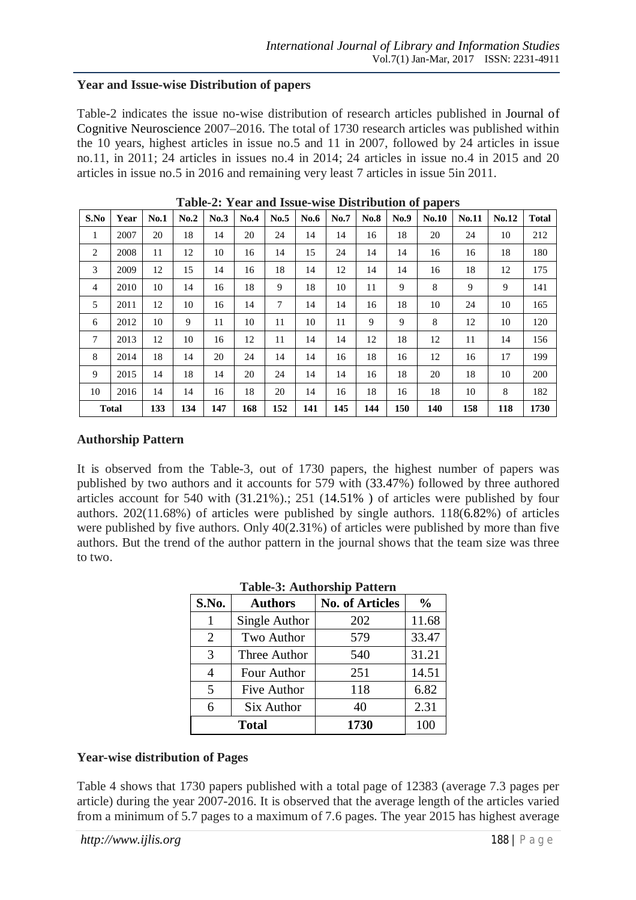### **Year and Issue-wise Distribution of papers**

Table-2 indicates the issue no-wise distribution of research articles published in Journal of Cognitive Neuroscience 2007–2016. The total of 1730 research articles was published within the 10 years, highest articles in issue no.5 and 11 in 2007, followed by 24 articles in issue no.11, in 2011; 24 articles in issues no.4 in 2014; 24 articles in issue no.4 in 2015 and 20 articles in issue no.5 in 2016 and remaining very least 7 articles in issue 5in 2011.

| S.No | Year         | No.1 | No.2 | No.3 | No.4 | No.5 | No.6 | No.7 | <b>No.8</b> | No.9 | <b>No.10</b> | No.11 | No.12 | <b>Total</b> |
|------|--------------|------|------|------|------|------|------|------|-------------|------|--------------|-------|-------|--------------|
| 1    | 2007         | 20   | 18   | 14   | 20   | 24   | 14   | 14   | 16          | 18   | 20           | 24    | 10    | 212          |
| 2    | 2008         | 11   | 12   | 10   | 16   | 14   | 15   | 24   | 14          | 14   | 16           | 16    | 18    | 180          |
| 3    | 2009         | 12   | 15   | 14   | 16   | 18   | 14   | 12   | 14          | 14   | 16           | 18    | 12    | 175          |
| 4    | 2010         | 10   | 14   | 16   | 18   | 9    | 18   | 10   | 11          | 9    | 8            | 9     | 9     | 141          |
| 5    | 2011         | 12   | 10   | 16   | 14   | 7    | 14   | 14   | 16          | 18   | 10           | 24    | 10    | 165          |
| 6    | 2012         | 10   | 9    | 11   | 10   | 11   | 10   | 11   | 9           | 9    | 8            | 12    | 10    | 120          |
| 7    | 2013         | 12   | 10   | 16   | 12   | 11   | 14   | 14   | 12          | 18   | 12           | 11    | 14    | 156          |
| 8    | 2014         | 18   | 14   | 20   | 24   | 14   | 14   | 16   | 18          | 16   | 12           | 16    | 17    | 199          |
| 9    | 2015         | 14   | 18   | 14   | 20   | 24   | 14   | 14   | 16          | 18   | 20           | 18    | 10    | 200          |
| 10   | 2016         | 14   | 14   | 16   | 18   | 20   | 14   | 16   | 18          | 16   | 18           | 10    | 8     | 182          |
|      | <b>Total</b> | 133  | 134  | 147  | 168  | 152  | 141  | 145  | 144         | 150  | 140          | 158   | 118   | 1730         |

**Table-2: Year and Issue-wise Distribution of papers**

## **Authorship Pattern**

It is observed from the Table-3, out of 1730 papers, the highest number of papers was published by two authors and it accounts for 579 with (33.47%) followed by three authored articles account for 540 with (31.21%).; 251 (14.51% ) of articles were published by four authors. 202(11.68%) of articles were published by single authors. 118(6.82%) of articles were published by five authors. Only 40(2.31%) of articles were published by more than five authors. But the trend of the author pattern in the journal shows that the team size was three to two.

| Table-9. Authorship I attefu |                |                        |               |  |  |  |
|------------------------------|----------------|------------------------|---------------|--|--|--|
| S.No.                        | <b>Authors</b> | <b>No. of Articles</b> | $\frac{0}{0}$ |  |  |  |
| 1                            | Single Author  | 202                    | 11.68         |  |  |  |
| $\overline{2}$               | Two Author     | 579                    | 33.47         |  |  |  |
| 3                            | Three Author   | 540                    | 31.21         |  |  |  |
| 4                            | Four Author    | 251                    | 14.51         |  |  |  |
| 5                            | Five Author    | 118                    | 6.82          |  |  |  |
| 6                            | Six Author     | 40                     | 2.31          |  |  |  |
|                              | <b>Total</b>   | 1730                   | 100           |  |  |  |

## **Table-3: Authorship Pattern**

## **Year-wise distribution of Pages**

Table 4 shows that 1730 papers published with a total page of 12383 (average 7.3 pages per article) during the year 2007-2016. It is observed that the average length of the articles varied from a minimum of 5.7 pages to a maximum of 7.6 pages. The year 2015 has highest average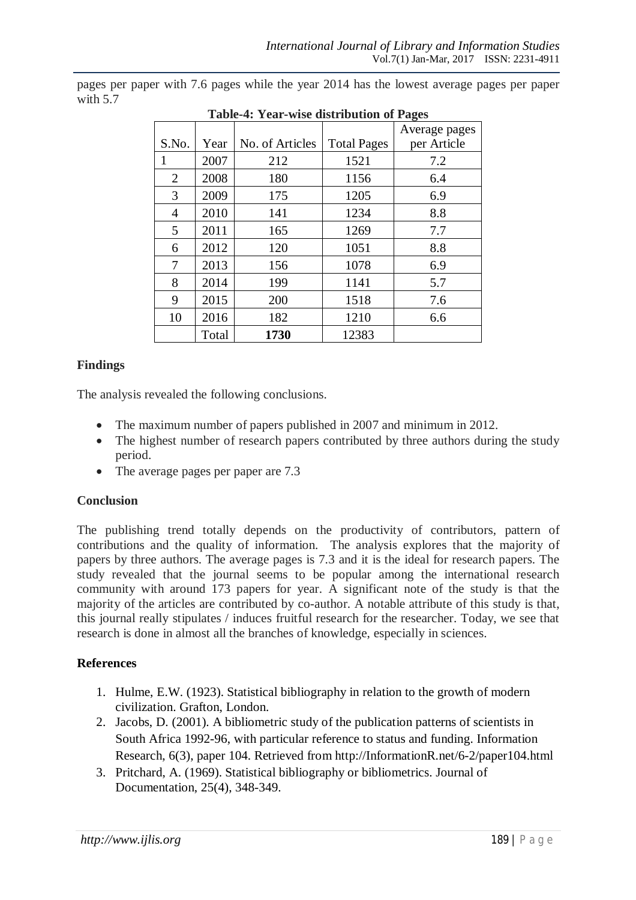| <b>Table-4: Year-wise distribution of Pages</b> |       |                 |                    |               |  |  |  |
|-------------------------------------------------|-------|-----------------|--------------------|---------------|--|--|--|
|                                                 |       |                 |                    | Average pages |  |  |  |
| S.No.                                           | Year  | No. of Articles | <b>Total Pages</b> | per Article   |  |  |  |
|                                                 | 2007  | 212             | 1521               | 7.2           |  |  |  |
| 2                                               | 2008  | 180             | 1156               | 6.4           |  |  |  |
| 3                                               | 2009  | 175             | 1205               | 6.9           |  |  |  |
| 4                                               | 2010  | 141             | 1234               | 8.8           |  |  |  |
| 5                                               | 2011  | 165             | 1269               | 7.7           |  |  |  |
| 6                                               | 2012  | 120             | 1051               | 8.8           |  |  |  |
| 7                                               | 2013  | 156             | 1078               | 6.9           |  |  |  |
| 8                                               | 2014  | 199             | 1141               | 5.7           |  |  |  |
| 9                                               | 2015  | 200             | 1518               | 7.6           |  |  |  |
| 10                                              | 2016  | 182             | 1210               | 6.6           |  |  |  |
|                                                 | Total | 1730            | 12383              |               |  |  |  |

pages per paper with 7.6 pages while the year 2014 has the lowest average pages per paper with 5.7

## **Findings**

The analysis revealed the following conclusions.

- The maximum number of papers published in 2007 and minimum in 2012.
- The highest number of research papers contributed by three authors during the study period.
- The average pages per paper are 7.3

### **Conclusion**

The publishing trend totally depends on the productivity of contributors, pattern of contributions and the quality of information. The analysis explores that the majority of papers by three authors. The average pages is 7.3 and it is the ideal for research papers. The study revealed that the journal seems to be popular among the international research community with around 173 papers for year. A significant note of the study is that the majority of the articles are contributed by co-author. A notable attribute of this study is that, this journal really stipulates / induces fruitful research for the researcher. Today, we see that research is done in almost all the branches of knowledge, especially in sciences.

## **References**

- 1. Hulme, E.W. (1923). Statistical bibliography in relation to the growth of modern civilization. Grafton, London.
- 2. Jacobs, D. (2001). A bibliometric study of the publication patterns of scientists in South Africa 1992-96, with particular reference to status and funding. Information Research, 6(3), paper 104. Retrieved from http://InformationR.net/6-2/paper104.html
- 3. Pritchard, A. (1969). Statistical bibliography or bibliometrics. Journal of Documentation, 25(4), 348-349.